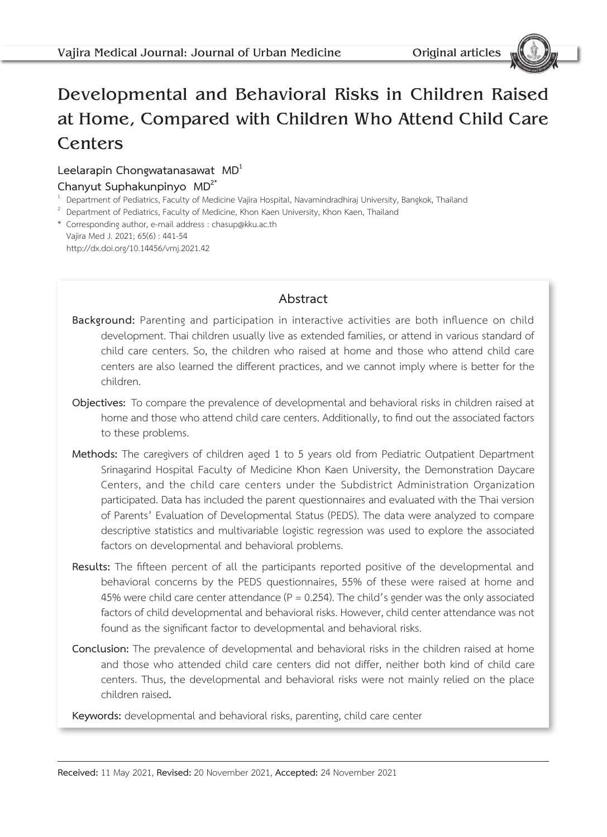# Developmental and Behavioral Risks in Children Raised at Home, Compared with Children Who Attend Child Care **Centers**

#### **Leelarapin Chongwatanasawat MD1**

- **Chanyut Suphakunpinyo MD<sup>2\*</sup><br><sup>1</sup> Department of Pediatrics, Faculty of Medicine Vajira Hospital, Navamindradhiraj University, Bangkok, Thailand**
- $1$  Department of Pediatrics, Faculty of Medicine, Khon Kaen University, Khon Kaen, Thailand
- \* Corresponding author, e-mail address : chasup@kku.ac.th Vajira Med J. 2021; 65(6) : 441-54

http://dx.doi.org/10.14456/vmj.2021.42

### **Abstract**

- **Background:** Parenting and participation in interactive activities are both influence on child development. Thai children usually live as extended families, or attend in various standard of child care centers. So, the children who raised at home and those who attend child care centers are also learned the different practices, and we cannot imply where is better for the children.
- **Objectives:** To compare the prevalence of developmental and behavioral risks in children raised at home and those who attend child care centers. Additionally, to find out the associated factors to these problems.
- **Methods:** The caregivers of children aged 1 to 5 years old from Pediatric Outpatient Department Srinagarind Hospital Faculty of Medicine Khon Kaen University, the Demonstration Daycare Centers, and the child care centers under the Subdistrict Administration Organization participated. Data has included the parent questionnaires and evaluated with the Thai version of Parents' Evaluation of Developmental Status (PEDS). The data were analyzed to compare descriptive statistics and multivariable logistic regression was used to explore the associated factors on developmental and behavioral problems.
- **Results:** The fifteen percent of all the participants reported positive of the developmental and behavioral concerns by the PEDS questionnaires, 55% of these were raised at home and 45% were child care center attendance ( $P = 0.254$ ). The child's gender was the only associated factors of child developmental and behavioral risks. However, child center attendance was not found as the significant factor to developmental and behavioral risks.
- **Conclusion:** The prevalence of developmental and behavioral risks in the children raised at home and those who attended child care centers did not differ, neither both kind of child care centers. Thus, the developmental and behavioral risks were not mainly relied on the place children raised**.**

**Keywords:** developmental and behavioral risks, parenting, child care center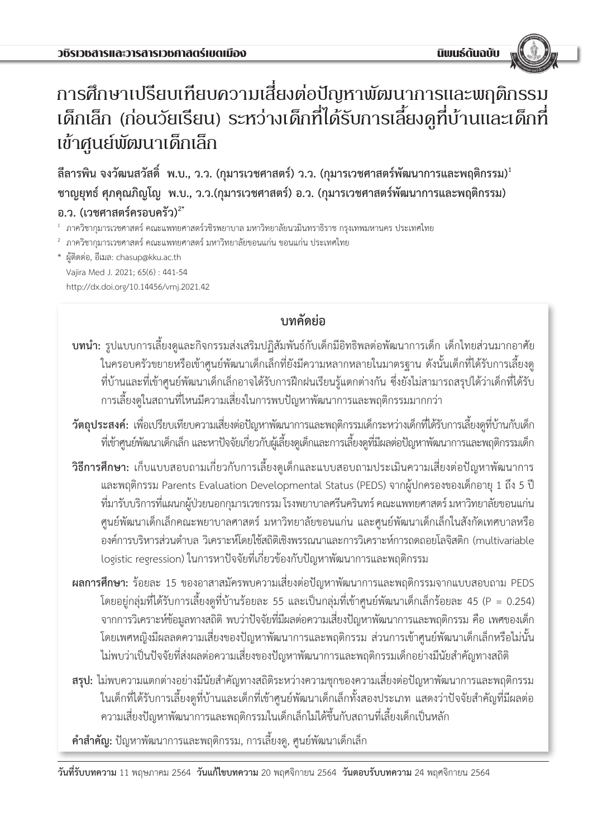# การศึกษาเปรียบเทียบความเสี่ยงต่อปัญหาพัฒนาการและพฤติกรรม เด็กเล็ก (ก่อนวัยเรียน) ระหว่างเด็กที่ได้รับการเลี้ยงดูที่บ้านและเด็กที่ เข้าศูนย์พัฒนาเด็กเล็ก

**ลีลารพิน จงวัฒนสวัสดิ์ พ.บ., ว.ว. (กุมารเวชศาสตร์) ว.ว. (กุมารเวชศาสตร์พัฒนาการและพฤติกรรม)<sup>1</sup> ชาญยุทธ์ ศุภคุณภิญโญ พ.บ., ว.ว.(กุมารเวชศาสตร์) อ.ว. (กุมารเวชศาสตร์พัฒนาการและพฤติกรรม) อ.ว. (เวชศาสตร์ครอบครัว)2\***

 $^{\rm ^{\rm ^{\rm ^{\rm ^{\rm ^{\rm ^{\rm ^{\rm }}}}}}}$ ภาควิชากุมารเวชศาสตร์วชิรพยาบาล มหาวิทยาลัยนวมินทราธิราช กรุงเทพมหานคร ประเทศไทย

 $^{\text{2}}$  ภาควิชากุมารเวชศาสตร์ คณะแพทยศาสตร์ มหาวิทยาลัยขอนแก่น ขอนแก่น ประเทศไทย

\* ผู้ติดต่อ, อีเมล: chasup@kku.ac.th Vajira Med J. 2021; 65(6) : 441-54 http://dx.doi.org/10.14456/vmj.2021.42

# **บทคัดย่อ**

- **บทน�ำ:** รูปแบบการเลี้ยงดูและกิจกรรมส่งเสริมปฏิสัมพันธ์กับเด็กมีอิทธิพลต่อพัฒนาการเด็ก เด็กไทยส่วนมากอาศัย ในครอบครัวขยายหรือเข้าศูนย์พัฒนาเด็กเล็กที่ยังมีความหลากหลายในมาตรฐาน ดังนั้นเด็กที่ได้รับการเลี้ยงดู ที่บ้านและที่เข้าศูนย์พัฒนาเด็กเล็กอาจได้รับการฝึกฝนเรียนรู้แตกต่างกัน ซึ่งยังไม่สามารถสรุปได้ว่าเด็กที่ได้รับ การเลี้ยงดูในสถานที่ไหนมีความเสี่ยงในการพบปัญหาพัฒนาการและพฤติกรรมมากกว่า
- **วัตถุประสงค์:** เพื่อเปรียบเทียบความเสี่ยงต่อปัญหาพัฒนาการและพฤติกรรมเด็กระหว่างเด็กที่ได้รับการเลี้ยงดูที่บ้านกับเด็ก ที่เข้าศูนย์พัฒนาเด็กเล็ก และหาปัจจัยเกี่ยวกับผู้เลี้ยงดูเด็กและการเลี้ยงดูที่มีผลต่อปัญหาพัฒนาการและพฤติกรรมเด็ก
- **วิธีการศึกษา:** เก็บแบบสอบถามเกี่ยวกับการเลี้ยงดูเด็กและแบบสอบถามประเมินความเสี่ยงต่อปัญหาพัฒนาการ และพฤติกรรม Parents Evaluation Developmental Status (PEDS) จากผู้ปกครองของเด็กอายุ 1 ถึง 5 ปี ที่มารับบริการที่แผนกผู้ป่วยนอกกุมารเวชกรรม โรงพยาบาลศรีนครินทร์ คณะแพทยศาสตร์ มหาวิทยาลัยขอนแก่น ศูนย์พัฒนาเด็กเล็กคณะพยาบาลศาสตร์ มหาวิทยาลัยขอนแก่น และศูนย์พัฒนาเด็กเล็กในสังกัดเทศบาลหรือ องค์การบริหารส่วนต�ำบล วิเคราะห์โดยใช้สถิติเชิงพรรณนาและการวิเคราะห์การถดถอยโลจิสติก (multivariable logistic regression) ในการหาปัจจัยที่เกี่ยวข้องกับปัญหาพัฒนาการและพฤติกรรม
- **ผลการศึกษา:** ร้อยละ 15 ของอาสาสมัครพบความเสี่ยงต่อปัญหาพัฒนาการและพฤติกรรมจากแบบสอบถาม PEDS โดยอยู่กลุ่มที่ได้รับการเลี้ยงดูที่บ้านร้อยละ 55 และเป็นกลุ่มที่เข้าศูนย์พัฒนาเด็กเล็กร้อยละ 45 (P = 0.254) จากการวิเคราะห์ข้อมูลทางสถิติ พบว่าปัจจัยที่มีผลต่อความเสี่ยงปัญหาพัฒนาการและพฤติกรรม คือ เพศของเด็ก โดยเพศหญิงมีผลลดความเสี่ยงของปัญหาพัฒนาการและพฤติกรรม ส่วนการเข้าศูนย์พัฒนาเด็กเล็กหรือไม่นั้น ไม่พบว่าเป็นปัจจัยที่ส่งผลต่อความเสี่ยงของปัญหาพัฒนาการและพฤติกรรมเด็กอย่างมีนัยส�ำคัญทางสถิติ
- **สรุป:** ไม่พบความแตกต่างอย่างมีนัยส�ำคัญทางสถิติระหว่างความชุกของความเสี่ยงต่อปัญหาพัฒนาการและพฤติกรรม ในเด็กที่ได้รับการเลี้ยงดูที่บ้านและเด็กที่เข้าศูนย์พัฒนาเด็กเล็กทั้งสองประเภท แสดงว่าปัจจัยส�ำคัญที่มีผลต่อ ความเสี่ยงปัญหาพัฒนาการและพฤติกรรมในเด็กเล็กไม่ได้ขึ้นกับสถานที่เลี้ยงเด็กเป็นหลัก

**ค�ำส�ำคัญ:** ปัญหาพัฒนาการและพฤติกรรม, การเลี้ยงดู, ศูนย์พัฒนาเด็กเล็ก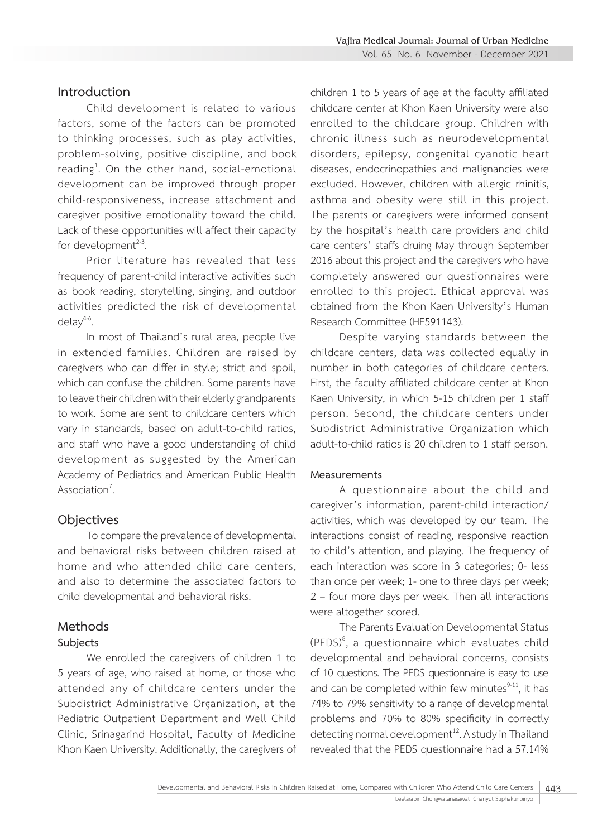#### **Introduction**

Child development is related to various factors, some of the factors can be promoted to thinking processes, such as play activities, problem-solving, positive discipline, and book reading<sup>1</sup>. On the other hand, social-emotional development can be improved through proper child-responsiveness, increase attachment and caregiver positive emotionality toward the child. Lack of these opportunities will affect their capacity for development $23$ .

Prior literature has revealed that less frequency of parent-child interactive activities such as book reading, storytelling, singing, and outdoor activities predicted the risk of developmental  $delav<sup>4-6</sup>$ .

In most of Thailand's rural area, people live in extended families. Children are raised by caregivers who can differ in style; strict and spoil, which can confuse the children. Some parents have to leave their children with their elderly grandparents to work. Some are sent to childcare centers which vary in standards, based on adult-to-child ratios, and staff who have a good understanding of child development as suggested by the American Academy of Pediatrics and American Public Health Association $<sup>7</sup>$ .</sup> .

#### **Objectives**

To compare the prevalence of developmental and behavioral risks between children raised at home and who attended child care centers, and also to determine the associated factors to child developmental and behavioral risks.

#### **Methods**

#### **Subjects**

We enrolled the caregivers of children 1 to 5 years of age, who raised at home, or those who attended any of childcare centers under the Subdistrict Administrative Organization, at the Pediatric Outpatient Department and Well Child Clinic, Srinagarind Hospital, Faculty of Medicine Khon Kaen University. Additionally, the caregivers of children 1 to 5 years of age at the faculty affiliated childcare center at Khon Kaen University were also enrolled to the childcare group. Children with chronic illness such as neurodevelopmental disorders, epilepsy, congenital cyanotic heart diseases, endocrinopathies and malignancies were excluded. However, children with allergic rhinitis, asthma and obesity were still in this project. The parents or caregivers were informed consent by the hospital's health care providers and child care centers' staffs druing May through September 2016 about this project and the caregivers who have completely answered our questionnaires were enrolled to this project. Ethical approval was obtained from the Khon Kaen University's Human Research Committee (HE591143).

Despite varying standards between the childcare centers, data was collected equally in number in both categories of childcare centers. First, the faculty affiliated childcare center at Khon Kaen University, in which 5-15 children per 1 staff person. Second, the childcare centers under Subdistrict Administrative Organization which adult-to-child ratios is 20 children to 1 staff person.

#### **Measurements**

A questionnaire about the child and caregiver's information, parent-child interaction/ activities, which was developed by our team. The interactions consist of reading, responsive reaction to child's attention, and playing. The frequency of each interaction was score in 3 categories; 0- less than once per week; 1- one to three days per week; 2 – four more days per week. Then all interactions were altogether scored.

The Parents Evaluation Developmental Status  $(PEDS)^8$ , a questionnaire which evaluates child developmental and behavioral concerns, consists of 10 questions. The PEDS questionnaire is easy to use and can be completed within few minutes $9-11$ , it has 74% to 79% sensitivity to a range of developmental problems and 70% to 80% specificity in correctly detecting normal development $^{12}$ . A study in Thailand revealed that the PEDS questionnaire had a 57.14%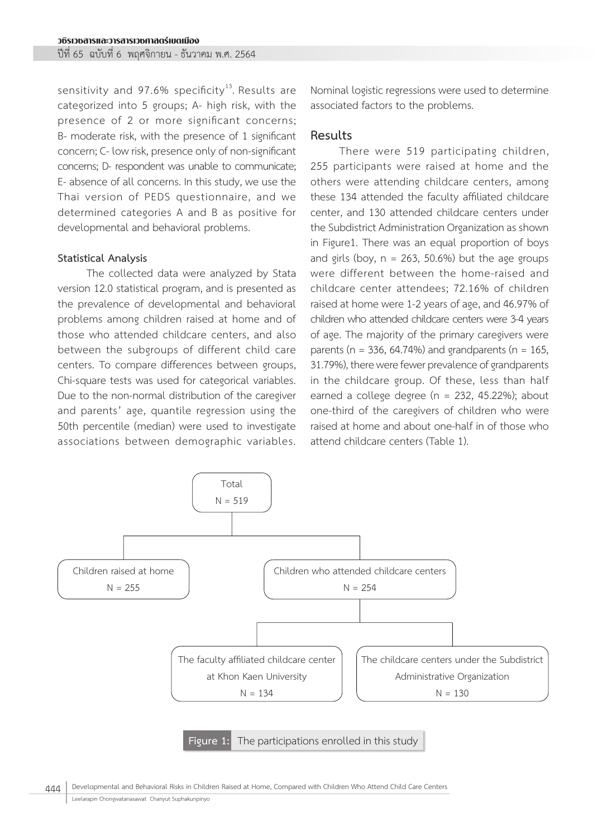sensitivity and 97.6% specificity<sup>13</sup>. Results are categorized into 5 groups; A- high risk, with the presence of 2 or more significant concerns; B- moderate risk, with the presence of 1 significant concern; C- low risk, presence only of non-significant concerns; D- respondent was unable to communicate; E- absence of all concerns. In this study, we use the Thai version of PEDS questionnaire, and we determined categories A and B as positive for developmental and behavioral problems.

#### **Statistical Analysis**

The collected data were analyzed by Stata version 12.0 statistical program, and is presented as the prevalence of developmental and behavioral problems among children raised at home and of those who attended childcare centers, and also between the subgroups of different child care centers. To compare differences between groups, Chi-square tests was used for categorical variables. Due to the non-normal distribution of the caregiver and parents' age, quantile regression using the 50th percentile (median) were used to investigate associations between demographic variables.

Nominal logistic regressions were used to determine associated factors to the problems.

#### **Results**

There were 519 participating children, 255 participants were raised at home and the others were attending childcare centers, among these 134 attended the faculty affiliated childcare center, and 130 attended childcare centers under the Subdistrict Administration Organization as shown in Figure1. There was an equal proportion of boys and girls (boy,  $n = 263$ , 50.6%) but the age groups were different between the home-raised and childcare center attendees; 72.16% of children raised at home were 1-2 years of age, and 46.97% of children who attended childcare centers were 3-4 years of age. The majority of the primary caregivers were parents ( $n = 336$ , 64.74%) and grandparents ( $n = 165$ , 31.79%), there were fewer prevalence of grandparents in the childcare group. Of these, less than half earned a college degree (n = 232, 45.22%); about one-third of the caregivers of children who were raised at home and about one-half in of those who attend childcare centers (Table 1).



444 Developmental and Behavioral Risks in Children Raised at Home, Compared with Children Who Attend Child Care Centers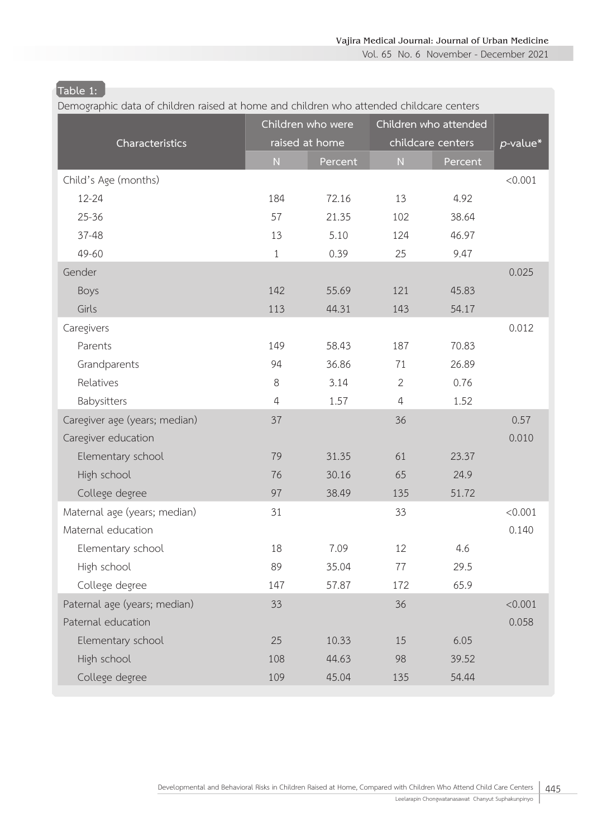Vol. 65 No. 6 November - December 2021

# **Table 1:**

| Demographic data of children raised at home and children who attended childcare centers |                |                   |                |                       |             |
|-----------------------------------------------------------------------------------------|----------------|-------------------|----------------|-----------------------|-------------|
|                                                                                         |                | Children who were |                | Children who attended |             |
| Characteristics                                                                         |                | raised at home    |                | childcare centers     | $p$ -value* |
|                                                                                         | ${\sf N}$      | Percent           | ${\sf N}$      | Percent               |             |
| Child's Age (months)                                                                    |                |                   |                |                       | < 0.001     |
| 12-24                                                                                   | 184            | 72.16             | 13             | 4.92                  |             |
| $25 - 36$                                                                               | 57             | 21.35             | 102            | 38.64                 |             |
| $37 - 48$                                                                               | 13             | 5.10              | 124            | 46.97                 |             |
| 49-60                                                                                   | $\mathbf{1}$   | 0.39              | 25             | 9.47                  |             |
| Gender                                                                                  |                |                   |                |                       | 0.025       |
| Boys                                                                                    | 142            | 55.69             | 121            | 45.83                 |             |
| Girls                                                                                   | 113            | 44.31             | 143            | 54.17                 |             |
| Caregivers                                                                              |                |                   |                |                       | 0.012       |
| Parents                                                                                 | 149            | 58.43             | 187            | 70.83                 |             |
| Grandparents                                                                            | 94             | 36.86             | 71             | 26.89                 |             |
| Relatives                                                                               | 8              | 3.14              | $\overline{2}$ | 0.76                  |             |
| Babysitters                                                                             | $\overline{4}$ | 1.57              | $\overline{4}$ | 1.52                  |             |
| Caregiver age (years; median)                                                           | 37             |                   | 36             |                       | 0.57        |
| Caregiver education                                                                     |                |                   |                |                       | 0.010       |
| Elementary school                                                                       | 79             | 31.35             | 61             | 23.37                 |             |
| High school                                                                             | 76             | 30.16             | 65             | 24.9                  |             |
| College degree                                                                          | 97             | 38.49             | 135            | 51.72                 |             |
| Maternal age (years; median)                                                            | 31             |                   | 33             |                       | < 0.001     |
| Maternal education                                                                      |                |                   |                |                       | 0.140       |
| Elementary school                                                                       | 18             | 7.09              | 12             | 4.6                   |             |
| High school                                                                             | 89             | 35.04             | 77             | 29.5                  |             |
| College degree                                                                          | 147            | 57.87             | 172            | 65.9                  |             |
| Paternal age (years; median)                                                            | 33             |                   | 36             |                       | < 0.001     |
| Paternal education                                                                      |                |                   |                |                       | 0.058       |
| Elementary school                                                                       | 25             | 10.33             | 15             | 6.05                  |             |
| High school                                                                             | 108            | 44.63             | 98             | 39.52                 |             |
| College degree                                                                          | 109            | 45.04             | 135            | 54.44                 |             |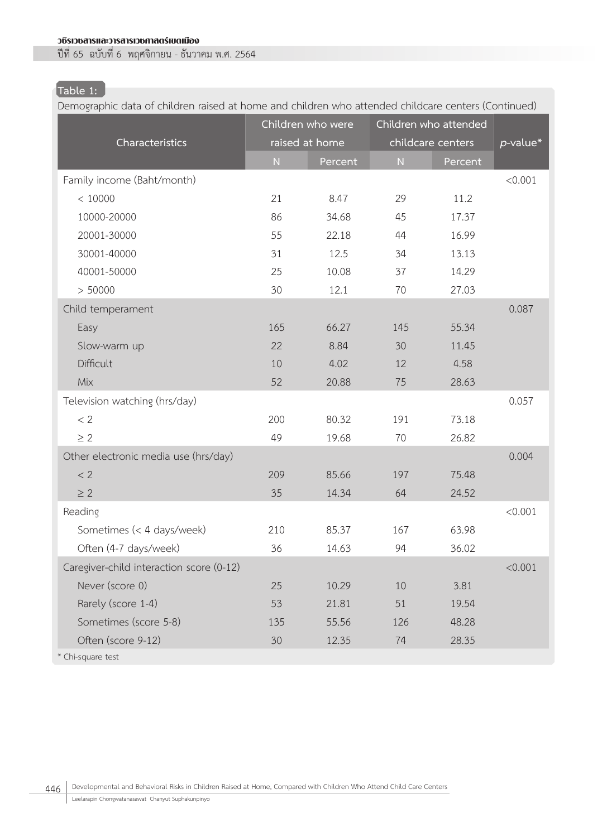# **Table 1:**

Demographic data of children raised at home and children who attended childcare centers (Continued)

| Characteristics                          |           | Children who were<br>raised at home |           | Children who attended<br>childcare centers | $p$ -value* |
|------------------------------------------|-----------|-------------------------------------|-----------|--------------------------------------------|-------------|
|                                          | ${\sf N}$ | Percent                             | ${\sf N}$ | Percent                                    |             |
| Family income (Baht/month)               |           |                                     |           |                                            | < 0.001     |
| < 10000                                  | 21        | 8.47                                | 29        | 11.2                                       |             |
| 10000-20000                              | 86        | 34.68                               | 45        | 17.37                                      |             |
| 20001-30000                              | 55        | 22.18                               | 44        | 16.99                                      |             |
| 30001-40000                              | 31        | 12.5                                | 34        | 13.13                                      |             |
| 40001-50000                              | 25        | 10.08                               | 37        | 14.29                                      |             |
| > 50000                                  | 30        | 12.1                                | 70        | 27.03                                      |             |
| Child temperament                        |           |                                     |           |                                            | 0.087       |
| Easy                                     | 165       | 66.27                               | 145       | 55.34                                      |             |
| Slow-warm up                             | 22        | 8.84                                | 30        | 11.45                                      |             |
| Difficult                                | 10        | 4.02                                | 12        | 4.58                                       |             |
| Mix                                      | 52        | 20.88                               | 75        | 28.63                                      |             |
| Television watching (hrs/day)            |           |                                     |           |                                            | 0.057       |
| < 2                                      | 200       | 80.32                               | 191       | 73.18                                      |             |
| $\geq$ 2                                 | 49        | 19.68                               | 70        | 26.82                                      |             |
| Other electronic media use (hrs/day)     |           |                                     |           |                                            | 0.004       |
| < 2                                      | 209       | 85.66                               | 197       | 75.48                                      |             |
| $\geq 2$                                 | 35        | 14.34                               | 64        | 24.52                                      |             |
| Reading                                  |           |                                     |           |                                            | < 0.001     |
| Sometimes (< 4 days/week)                | 210       | 85.37                               | 167       | 63.98                                      |             |
| Often (4-7 days/week)                    | 36        | 14.63                               | 94        | 36.02                                      |             |
| Caregiver-child interaction score (0-12) |           |                                     |           |                                            | < 0.001     |
| Never (score 0)                          | 25        | 10.29                               | 10        | 3.81                                       |             |
| Rarely (score 1-4)                       | 53        | 21.81                               | 51        | 19.54                                      |             |
| Sometimes (score 5-8)                    | 135       | 55.56                               | 126       | 48.28                                      |             |
| Often (score 9-12)                       | 30        | 12.35                               | 74        | 28.35                                      |             |
| * Chi-square test                        |           |                                     |           |                                            |             |

446 | Developmental and Behavioral Risks in Children Raised at Home, Compared with Children Who Attend Child Care Centers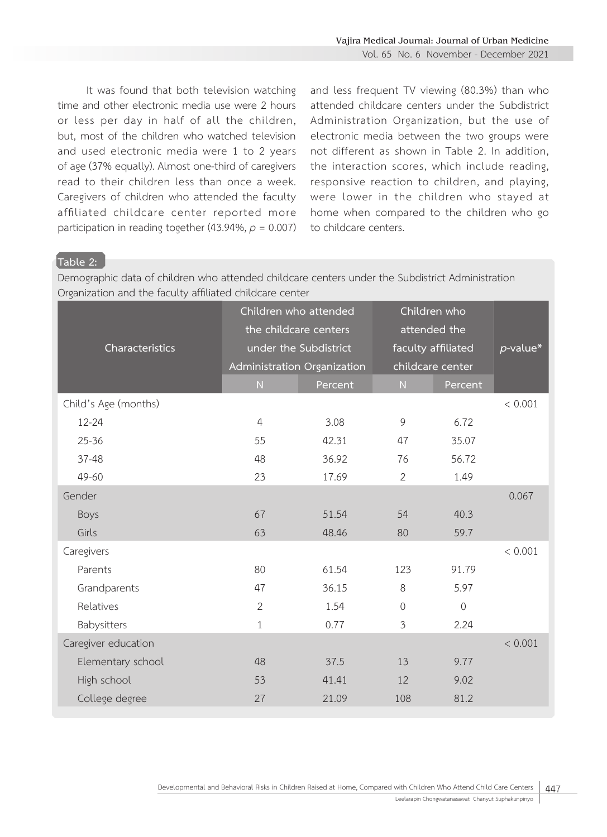Vol. 65 No. 6 November - December 2021

It was found that both television watching time and other electronic media use were 2 hours or less per day in half of all the children, but, most of the children who watched television and used electronic media were 1 to 2 years of age (37% equally). Almost one-third of caregivers read to their children less than once a week. Caregivers of children who attended the faculty affiliated childcare center reported more participation in reading together  $(43.94\%, p = 0.007)$ 

and less frequent TV viewing (80.3%) than who attended childcare centers under the Subdistrict Administration Organization, but the use of electronic media between the two groups were not different as shown in Table 2. In addition, the interaction scores, which include reading, responsive reaction to children, and playing, were lower in the children who stayed at home when compared to the children who go to childcare centers.

#### **Table 2:**

Demographic data of children who attended childcare centers under the Subdistrict Administration Organization and the faculty affiliated childcare center

| Characteristics      |                | Children who attended<br>the childcare centers<br>under the Subdistrict<br>Administration Organization |                | Children who<br>attended the<br>faculty affiliated<br>childcare center | p-value* |
|----------------------|----------------|--------------------------------------------------------------------------------------------------------|----------------|------------------------------------------------------------------------|----------|
|                      | N              | Percent                                                                                                | N              | Percent                                                                |          |
| Child's Age (months) |                |                                                                                                        |                |                                                                        | < 0.001  |
| $12 - 24$            | $\overline{4}$ | 3.08                                                                                                   | 9              | 6.72                                                                   |          |
| $25 - 36$            | 55             | 42.31                                                                                                  | 47             | 35.07                                                                  |          |
| $37 - 48$            | 48             | 36.92                                                                                                  | 76             | 56.72                                                                  |          |
| 49-60                | 23             | 17.69                                                                                                  | 2              | 1.49                                                                   |          |
| Gender               |                |                                                                                                        |                |                                                                        | 0.067    |
| Boys                 | 67             | 51.54                                                                                                  | 54             | 40.3                                                                   |          |
| Girls                | 63             | 48.46                                                                                                  | 80             | 59.7                                                                   |          |
| Caregivers           |                |                                                                                                        |                |                                                                        | < 0.001  |
| Parents              | 80             | 61.54                                                                                                  | 123            | 91.79                                                                  |          |
| Grandparents         | 47             | 36.15                                                                                                  | 8              | 5.97                                                                   |          |
| Relatives            | $\overline{2}$ | 1.54                                                                                                   | $\mathbf 0$    | $\overline{0}$                                                         |          |
| Babysitters          | 1              | 0.77                                                                                                   | $\mathfrak{Z}$ | 2.24                                                                   |          |
| Caregiver education  |                |                                                                                                        |                |                                                                        | < 0.001  |
| Elementary school    | 48             | 37.5                                                                                                   | 13             | 9.77                                                                   |          |
| High school          | 53             | 41.41                                                                                                  | 12             | 9.02                                                                   |          |
| College degree       | 27             | 21.09                                                                                                  | 108            | 81.2                                                                   |          |
|                      |                |                                                                                                        |                |                                                                        |          |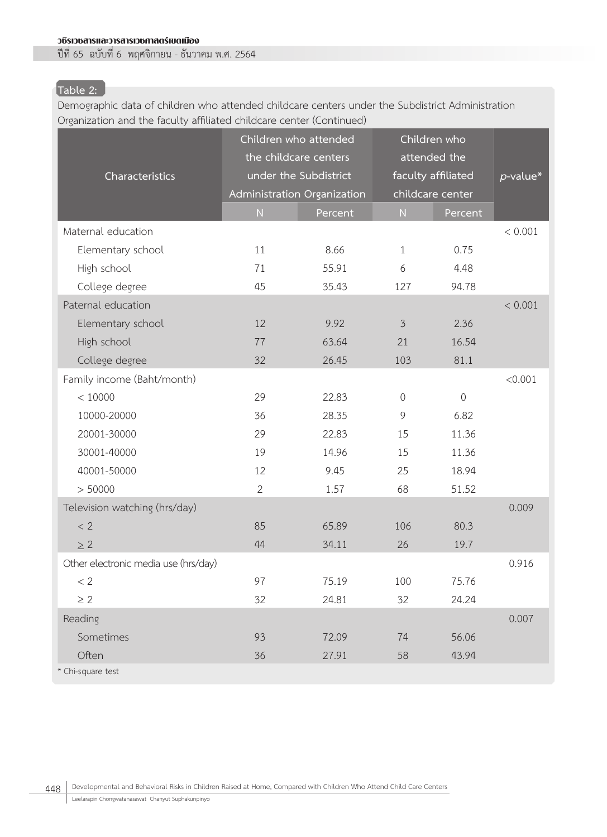# **Table 2:**

Demographic data of children who attended childcare centers under the Subdistrict Administration Organization and the faculty affiliated childcare center (Continued)

| Characteristics                      | Children who attended<br>the childcare centers<br>Administration Organization | under the Subdistrict |                | Children who<br>attended the<br>faculty affiliated<br>childcare center | $p$ -value* |
|--------------------------------------|-------------------------------------------------------------------------------|-----------------------|----------------|------------------------------------------------------------------------|-------------|
|                                      | ${\sf N}$                                                                     | Percent               | ${\sf N}$      | Percent                                                                |             |
| Maternal education                   |                                                                               |                       |                |                                                                        | < 0.001     |
| Elementary school                    | 11                                                                            | 8.66                  | $\mathbf{1}$   | 0.75                                                                   |             |
| High school                          | 71                                                                            | 55.91                 | 6              | 4.48                                                                   |             |
| College degree                       | 45                                                                            | 35.43                 | 127            | 94.78                                                                  |             |
| Paternal education                   |                                                                               |                       |                |                                                                        | < 0.001     |
| Elementary school                    | 12                                                                            | 9.92                  | $\mathfrak{Z}$ | 2.36                                                                   |             |
| High school                          | 77                                                                            | 63.64                 | 21             | 16.54                                                                  |             |
| College degree                       | 32                                                                            | 26.45                 | 103            | 81.1                                                                   |             |
| Family income (Baht/month)           |                                                                               |                       |                |                                                                        | < 0.001     |
| < 10000                              | 29                                                                            | 22.83                 | $\sqrt{a}$     | $\mathbf 0$                                                            |             |
| 10000-20000                          | 36                                                                            | 28.35                 | 9              | 6.82                                                                   |             |
| 20001-30000                          | 29                                                                            | 22.83                 | 15             | 11.36                                                                  |             |
| 30001-40000                          | 19                                                                            | 14.96                 | 15             | 11.36                                                                  |             |
| 40001-50000                          | 12                                                                            | 9.45                  | 25             | 18.94                                                                  |             |
| > 50000                              | $\overline{2}$                                                                | 1.57                  | 68             | 51.52                                                                  |             |
| Television watching (hrs/day)        |                                                                               |                       |                |                                                                        | 0.009       |
| < 2                                  | 85                                                                            | 65.89                 | 106            | 80.3                                                                   |             |
| $\geq 2$                             | 44                                                                            | 34.11                 | 26             | 19.7                                                                   |             |
| Other electronic media use (hrs/day) |                                                                               |                       |                |                                                                        | 0.916       |
| < 2                                  | 97                                                                            | 75.19                 | 100            | 75.76                                                                  |             |
| $\geq$ 2                             | 32                                                                            | 24.81                 | 32             | 24.24                                                                  |             |
| Reading                              |                                                                               |                       |                |                                                                        | 0.007       |
| Sometimes                            | 93                                                                            | 72.09                 | 74             | 56.06                                                                  |             |
| Often                                | 36                                                                            | 27.91                 | 58             | 43.94                                                                  |             |
| * Chi-square test                    |                                                                               |                       |                |                                                                        |             |

448 | Developmental and Behavioral Risks in Children Raised at Home, Compared with Children Who Attend Child Care Centers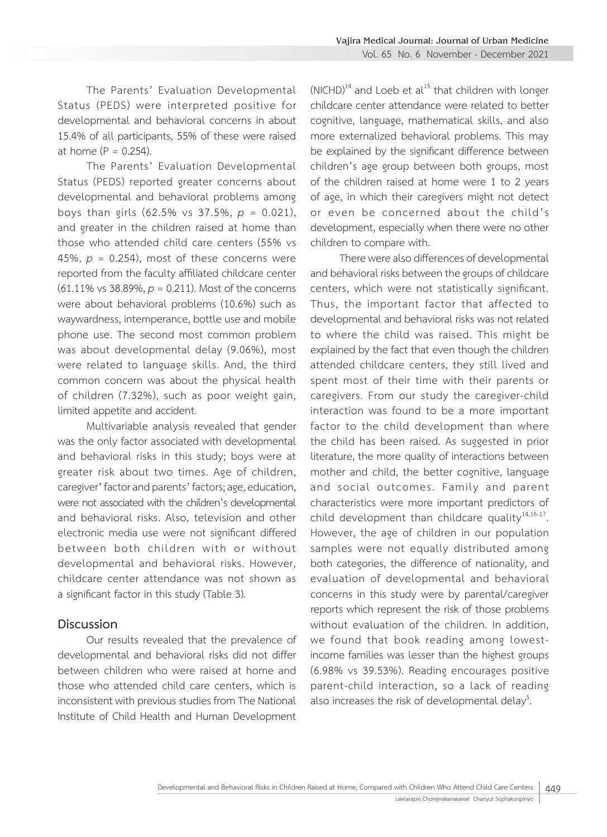The Parents' Evaluation Developmental Status (PEDS) were interpreted positive for developmental and behavioral concerns in about 15.4% of all participants, 55% of these were raised at home  $(P = 0.254)$ .

The Parents' Evaluation Developmental Status (PEDS) reported greater concerns about developmental and behavioral problems among boys than girls (62.5% vs 37.5%, *p* = 0.021), and greater in the children raised at home than those who attended child care centers (55% vs 45%,  $p = 0.254$ ), most of these concerns were reported from the faculty affiliated childcare center (61.11% vs 38.89%, *p* = 0.211). Most of the concerns were about behavioral problems (10.6%) such as waywardness, intemperance, bottle use and mobile phone use. The second most common problem was about developmental delay (9.06%), most were related to language skills. And, the third common concern was about the physical health of children (7.32%), such as poor weight gain, limited appetite and accident.

Multivariable analysis revealed that gender was the only factor associated with developmental and behavioral risks in this study; boys were at greater risk about two times. Age of children, caregiver' factor and parents' factors; age, education, were not associated with the children's developmental and behavioral risks. Also, television and other electronic media use were not significant differed between both children with or without developmental and behavioral risks. However, childcare center attendance was not shown as a significant factor in this study (Table 3).

#### **Discussion**

Our results revealed that the prevalence of developmental and behavioral risks did not differ between children who were raised at home and those who attended child care centers, which is inconsistent with previous studies from The National Institute of Child Health and Human Development

 $(NICHD)<sup>14</sup>$  and Loeb et al<sup>15</sup> that children with longer childcare center attendance were related to better cognitive, language, mathematical skills, and also more externalized behavioral problems. This may be explained by the significant difference between children's age group between both groups, most of the children raised at home were 1 to 2 years of age, in which their caregivers might not detect or even be concerned about the child's development, especially when there were no other children to compare with.

There were also differences of developmental and behavioral risks between the groups of childcare centers, which were not statistically significant. Thus, the important factor that affected to developmental and behavioral risks was not related to where the child was raised. This might be explained by the fact that even though the children attended childcare centers, they still lived and spent most of their time with their parents or caregivers. From our study the caregiver-child interaction was found to be a more important factor to the child development than where the child has been raised. As suggested in prior literature, the more quality of interactions between mother and child, the better cognitive, language and social outcomes. Family and parent characteristics were more important predictors of child development than childcare quality $14,16-17$ . However, the age of children in our population samples were not equally distributed among both categories, the difference of nationality, and evaluation of developmental and behavioral concerns in this study were by parental/caregiver reports which represent the risk of those problems without evaluation of the children. In addition, we found that book reading among lowestincome families was lesser than the highest groups (6.98% vs 39.53%). Reading encourages positive parent-child interaction, so a lack of reading also increases the risk of developmental delay<sup>5</sup>. .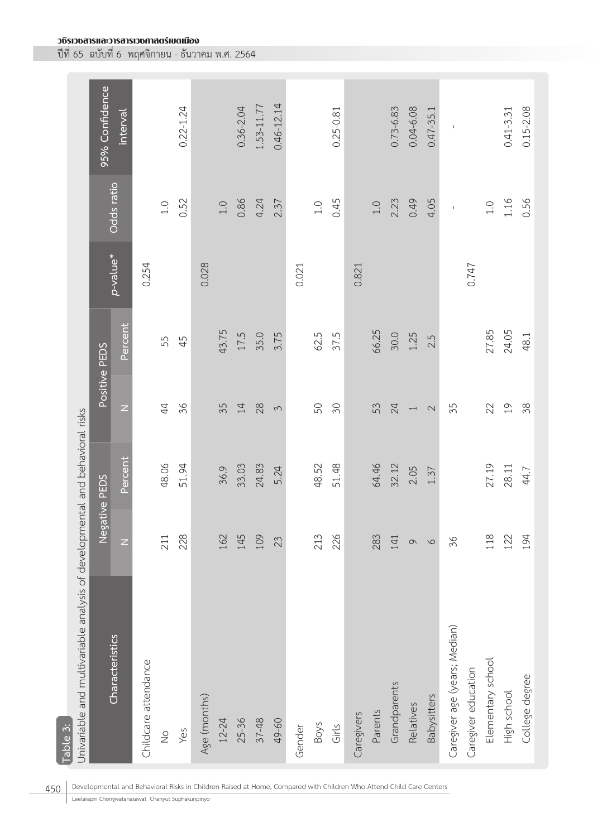|                                                                                          | 95% Confidence | interval        |                      |               | $0.22 - 1.24$ |              |           | $0.36 - 2.04$ | 1.53-11.77 | $0.46 - 12.14$ |        |             | $0.25 - 0.81$ |            |         | $0.73 - 6.83$ | $0.04 - 6.08$            | $0.47 - 35.1$ | $\mathsf I$                   |                     |                   | $0.41 - 3.31$  | $0.15 - 2.08$  |
|------------------------------------------------------------------------------------------|----------------|-----------------|----------------------|---------------|---------------|--------------|-----------|---------------|------------|----------------|--------|-------------|---------------|------------|---------|---------------|--------------------------|---------------|-------------------------------|---------------------|-------------------|----------------|----------------|
|                                                                                          |                | Odds ratio      |                      | $1.0\,$       | 0.52          |              | $1.0\,$   | 0.86          | 4.24       | 2.37           |        | $1.0\,$     | 0.45          |            | $1.0\,$ | 2.23          | 0.49                     | 4.05          | $\mathsf{I}$                  |                     | $1.0\,$           | 1.16           | 0.56           |
|                                                                                          |                | p-value*        | 0.254                |               |               | 0.028        |           |               |            |                | 0.021  |             |               | 0.821      |         |               |                          |               |                               | 747                 |                   |                |                |
|                                                                                          | Positive PEDS  | Percent         |                      | 55            | 45            |              | 43.75     | 17.5          | 35.0       | 3.75           |        | 62.5        | 37.5          |            | 66.25   | 30.0          | 1.25                     | 2.5           |                               |                     | 27.85             | 24.05          | 48.1           |
|                                                                                          |                | $\overline{z}$  |                      | $\ddot{4}$    | 36            |              | 35        | $14\,$        | $28$       | $\infty$       |        | 50          | $\infty$      |            | 53      | 24            | $\overline{\phantom{m}}$ | $\sim$        | 35                            |                     | 22                | $\overline{0}$ | 38             |
|                                                                                          |                | Percent         |                      | 48.06         | 51.94         |              | 36.9      | 33.03         | 24.83      | 5.24           |        | 48.52       | 51.48         |            | 64.46   | 32.12         | 2.05                     | 1.37          |                               |                     | 27.19             | 28.11          | 44.7           |
|                                                                                          | Negative PEDS  | Z               |                      | 211           | 228           |              | 162       | 145           | 109        | 23             |        | 213         | 226           |            | 283     | 141           | $\circ$                  | $\circ$       | 36                            |                     | 118               | 122            | 194            |
| Univariable and multivariable analysis of developmental and behavioral risks<br>Table 3: |                | Characteristics | Childcare attendance | $\frac{0}{2}$ | Yes           | Age (months) | $12 - 24$ | 25-36         | $37 - 48$  | 49-60          | Gender | <b>Boys</b> | Girls         | Caregivers | Parents | Grandparents  | Relatives                | Babysitters   | Caregiver age (years; Median) | Caregiver education | Elementary school | High school    | College degree |

450 | Developmental and Behavioral Risks in Children Raised at Home, Compared with Children Who Attend Child Care Centers

Leelarapin Chongwatanasawat Chanyut Suphakunpinyo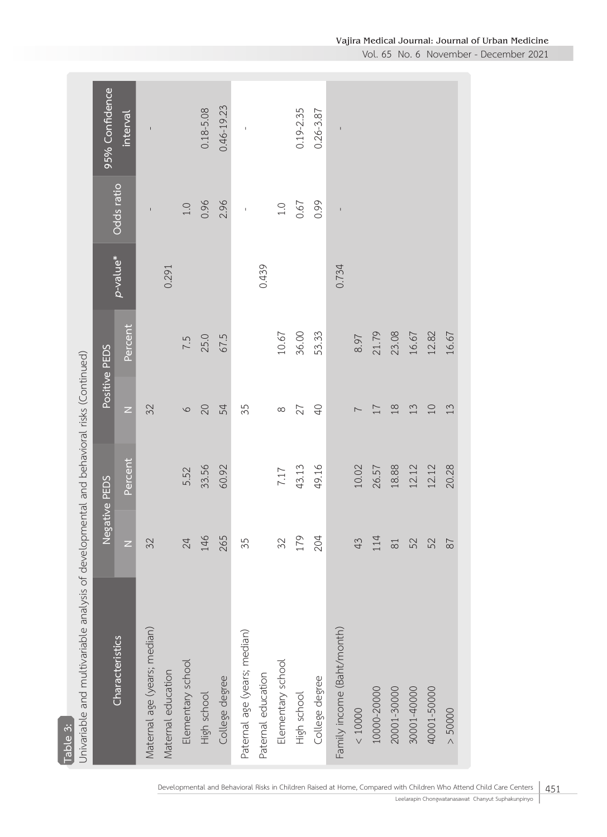| Univariable and multivariable analysis of developmental and behavioral risks (Continued)<br>Table 3: |                    |         |              |               |          |              |                |
|------------------------------------------------------------------------------------------------------|--------------------|---------|--------------|---------------|----------|--------------|----------------|
|                                                                                                      |                    |         |              |               |          |              |                |
|                                                                                                      | Negative PEDS      |         |              | Positive PEDS |          |              | 95% Confidence |
| Characteristics                                                                                      | $\overline{z}$     | Percent | $\mathsf{z}$ | Percent       | p-value* | Odds ratio   | interval       |
| Maternal age (years; median)                                                                         | 32                 |         | 32           |               |          | $\mathsf I$  | $\mathsf{I}$   |
| Maternal education                                                                                   |                    |         |              |               | 0.291    |              |                |
| Elementary school                                                                                    | 24                 | 5.52    | $\circ$      | 7.5           |          | $1.0$        |                |
| High school                                                                                          | 146                | 33.56   | 20           | 25.0          |          | 0.96         | $0.18 - 5.08$  |
| College degree                                                                                       | 265                | 60.92   | 54           | 67.5          |          | 2.96         | $0.46 - 19.23$ |
| Paternal age (years; median)                                                                         | 35                 |         | 35           |               |          | $\bar{1}$    | $\mathsf I$    |
| Paternal education                                                                                   |                    |         |              |               | 0.439    |              |                |
| Elementary school                                                                                    | 32                 | 7.17    | $\infty$     | 10.67         |          | $0.1$        |                |
| High school                                                                                          | 179                | 43.13   | 27           | 36.00         |          | 0.67         | $0.19 - 2.35$  |
| College degree                                                                                       | 204                | 49.16   | $\Theta$     | 53.33         |          | 0.99         | $0.26 - 3.87$  |
| Family income (Baht/month)                                                                           |                    |         |              |               | 0.734    | $\mathbf{I}$ | $\sf I$        |
| < 10000                                                                                              | 43                 | 10.02   |              | 8.97          |          |              |                |
| 10000-20000                                                                                          | 114                | 26.57   | 17           | 21.79         |          |              |                |
| 20001-30000                                                                                          | $\overline{\circ}$ | 18.88   | $18$         | 23.08         |          |              |                |
| 30001-40000                                                                                          | 52                 | 12.12   | 13           | 16.67         |          |              |                |
| 40001-50000                                                                                          | 52                 | 12.12   | $10$         | 12.82         |          |              |                |
| $> 50000$                                                                                            | $\overline{8}$     | 20.28   | 13           | 16.67         |          |              |                |

Vol. 65 No. 6 November - December 2021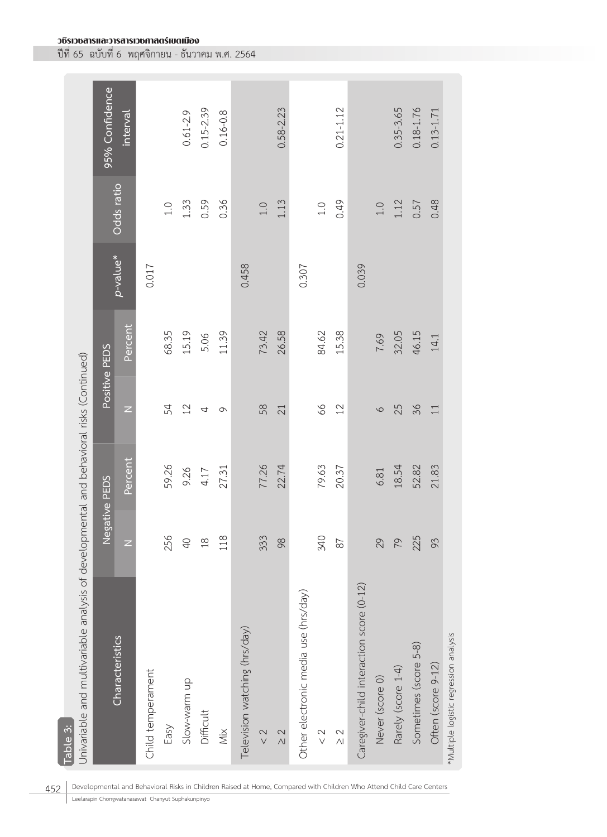| Table 3:                                                                                 |                |               |                |               |          |               |                |
|------------------------------------------------------------------------------------------|----------------|---------------|----------------|---------------|----------|---------------|----------------|
| Univariable and multivariable analysis of developmental and behavioral risks (Continued) |                |               |                |               |          |               |                |
|                                                                                          |                | Negative PEDS |                | Positive PEDS |          |               | 95% Confidence |
| Characteristics                                                                          | Ζ              | Percent       | Z              | Percent       | p-value* | Odds ratio    | interval       |
| Child temperament                                                                        |                |               |                |               | 0.017    |               |                |
| Easy                                                                                     | 256            | 59.26         | 54             | 68.35         |          | $\frac{1}{1}$ |                |
| Slow-warm up                                                                             | $\overline{0}$ | 9.26          | $22$           | 15.19         |          | 1.33          | $0.61 - 2.9$   |
| Difficult                                                                                | $\frac{8}{1}$  | 4.17          | 4              | 5.06          |          | 0.59          | $0.15 - 2.39$  |
| Χiχ                                                                                      | 118            | 27.31         | $\circ$        | 11.39         |          | 0.36          | $0.16 - 0.8$   |
| Television watching (hrs/day)                                                            |                |               |                |               | 0.458    |               |                |
| $\frac{2}{3}$                                                                            | 333            | 77.26         | 58             | 73.42         |          | $1.0$         |                |
| $\frac{2}{2}$                                                                            | 98             | 22.74         | 21             | 26.58         |          | 1.13          | $0.58 - 2.23$  |
| Other electronic media use (hrs/day)                                                     |                |               |                |               | 0.307    |               |                |
| $\frac{2}{3}$                                                                            | 340            | 79.63         | 8 <sup>o</sup> | 84.62         |          | $0.1$         |                |
| $\frac{2}{\sqrt{2}}$                                                                     | 87             | 20.37         | $12$           | 15.38         |          | 0.49          | $0.21 - 1.12$  |
| Caregiver-child interaction score (0-12)                                                 |                |               |                |               | 0.039    |               |                |
| Never (score 0)                                                                          | 29             | 6.81          | $\circ$        | 7.69          |          | $1.0$         |                |
| Rarely (score 1-4)                                                                       | 79             | 18.54         | 25             | 32.05         |          | 1.12          | $0.35 - 3.65$  |
| Sometimes (score 5-8)                                                                    | 225            | 52.82         | 36             | 46.15         |          | 0.57          | $0.18 - 1.76$  |
| Often (score 9-12)                                                                       | 93             | 21.83         | 11             | 14.1          |          | 0.48          | $0.13 - 1.71$  |
| *Multiple logistic regression analysis                                                   |                |               |                |               |          |               |                |

วชิรเวชสารและวารสารเวชศาสตร์เขตเมือง ปีที่ 65 ฉบับที่ 6 พฤศจิกายน - ธันวาคม พ.ศ. 2564

452 | Developmental and Behavioral Risks in Children Raised at Home, Compared with Children Who Attend Child Care Centers

Leelarapin Chongwatanasawat Chanyut Suphakunpinyo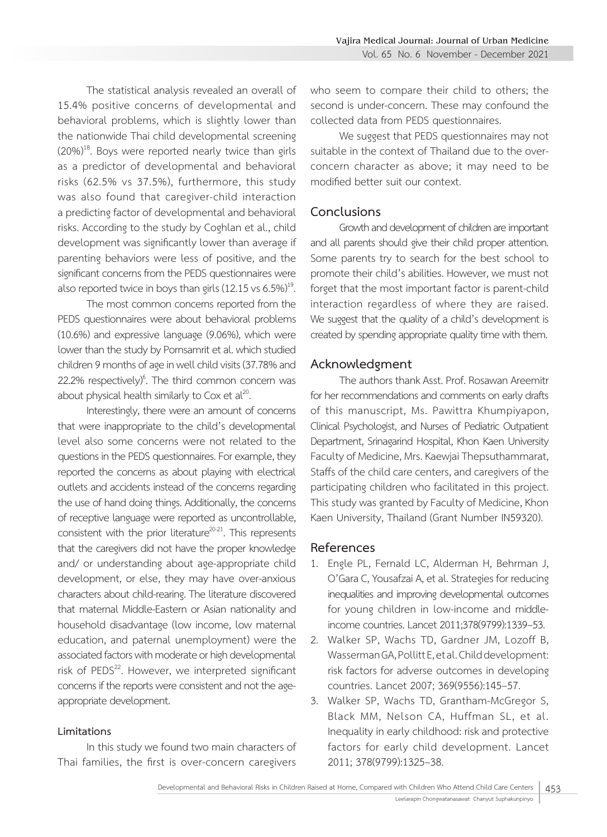The statistical analysis revealed an overall of 15.4% positive concerns of developmental and behavioral problems, which is slightly lower than the nationwide Thai child developmental screening  $(20%)^{18}$ . Boys were reported nearly twice than girls as a predictor of developmental and behavioral risks (62.5% vs 37.5%), furthermore, this study was also found that caregiver-child interaction a predicting factor of developmental and behavioral risks. According to the study by Coghlan et al., child development was significantly lower than average if parenting behaviors were less of positive, and the significant concerns from the PEDS questionnaires were

also reported twice in boys than girls (12.15 vs 6.5%)<sup>19</sup>.<br>The most common concerns reported from the PEDS questionnaires were about behavioral problems (10.6%) and expressive language (9.06%), which were lower than the study by Pornsamrit et al. which studied children 9 months of age in well child visits (37.78% and  $22.2\%$  respectively) $\degree$ . The third common concern was about physical health similarly to Cox et  $al^{20}$ .

Interestingly, there were an amount of concerns that were inappropriate to the child's developmental level also some concerns were not related to the questions in the PEDS questionnaires. For example, they reported the concerns as about playing with electrical outlets and accidents instead of the concerns regarding the use of hand doing things. Additionally, the concerns of receptive language were reported as uncontrollable, consistent with the prior literature<sup>20-21</sup>. This represents that the caregivers did not have the proper knowledge and/ or understanding about age-appropriate child development, or else, they may have over-anxious characters about child-rearing. The literature discovered that maternal Middle-Eastern or Asian nationality and household disadvantage (low income, low maternal education, and paternal unemployment) were the associated factors with moderate or high developmental risk of PEDS<sup>22</sup>. However, we interpreted significant concerns if the reports were consistent and not the ageappropriate development.

#### **Limitations**

In this study we found two main characters of Thai families, the first is over-concern caregivers who seem to compare their child to others; the second is under-concern. These may confound the collected data from PEDS questionnaires.

We suggest that PEDS questionnaires may not suitable in the context of Thailand due to the overconcern character as above; it may need to be modified better suit our context.

#### **Conclusions**

Growth and development of children are important and all parents should give their child proper attention. Some parents try to search for the best school to promote their child's abilities. However, we must not forget that the most important factor is parent-child interaction regardless of where they are raised. We suggest that the quality of a child's development is created by spending appropriate quality time with them.

#### **Acknowledgment**

The authors thank Asst. Prof. Rosawan Areemitr for her recommendations and comments on early drafts of this manuscript, Ms. Pawittra Khumpiyapon, Clinical Psychologist, and Nurses of Pediatric Outpatient Department, Srinagarind Hospital, Khon Kaen University Faculty of Medicine, Mrs. Kaewjai Thepsuthammarat, Staffs of the child care centers, and caregivers of the participating children who facilitated in this project. This study was granted by Faculty of Medicine, Khon Kaen University, Thailand (Grant Number IN59320).

### **References**

- 1. Engle PL, Fernald LC, Alderman H, Behrman J, O'Gara C, Yousafzai A, et al. Strategies for reducing inequalities and improving developmental outcomes for young children in low-income and middleincome countries. Lancet 2011;378(9799):1339–53.
- 2. Walker SP, Wachs TD, Gardner JM, Lozoff B, Wasserman GA, Pollitt E, et al. Child development: risk factors for adverse outcomes in developing countries. Lancet 2007; 369(9556):145–57.
- 3. Walker SP, Wachs TD, Grantham-McGregor S, Black MM, Nelson CA, Huffman SL, et al. Inequality in early childhood: risk and protective factors for early child development. Lancet 2011; 378(9799):1325–38.